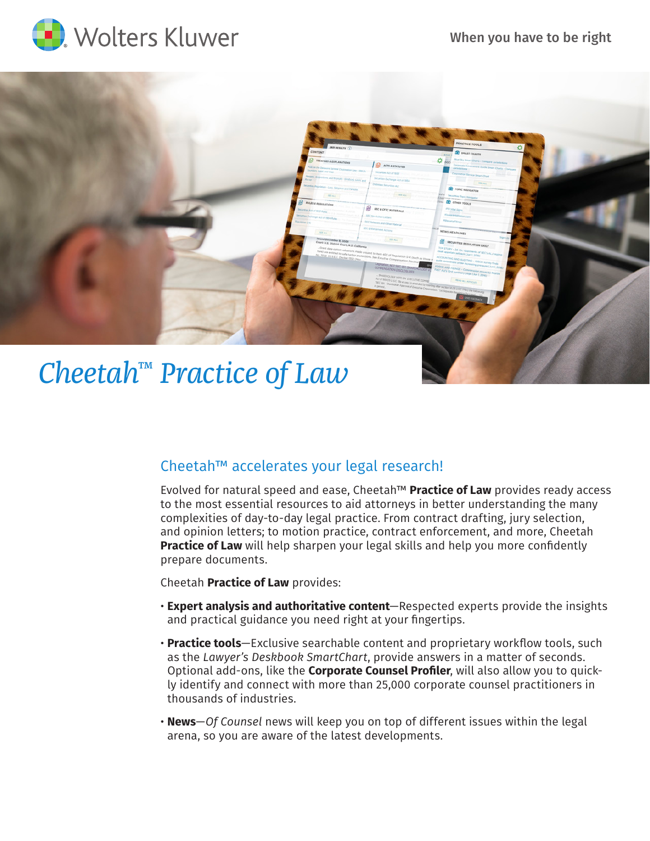



# Cheetah™ accelerates your legal research!

Evolved for natural speed and ease, Cheetah™ **Practice of Law** provides ready access to the most essential resources to aid attorneys in better understanding the many complexities of day-to-day legal practice. From contract drafting, jury selection, and opinion letters; to motion practice, contract enforcement, and more, Cheetah **Practice of Law** will help sharpen your legal skills and help you more confidently prepare documents.

Cheetah **Practice of Law** provides:

- **Expert analysis and authoritative content**—Respected experts provide the insights and practical guidance you need right at your fingertips.
- **Practice tools**—Exclusive searchable content and proprietary workflow tools, such as the *Lawyer's Deskbook SmartChart*, provide answers in a matter of seconds. Optional add-ons, like the **Corporate Counsel Profiler**, will also allow you to quickly identify and connect with more than 25,000 corporate counsel practitioners in thousands of industries.
- **News**—*Of Counsel* news will keep you on top of different issues within the legal arena, so you are aware of the latest developments.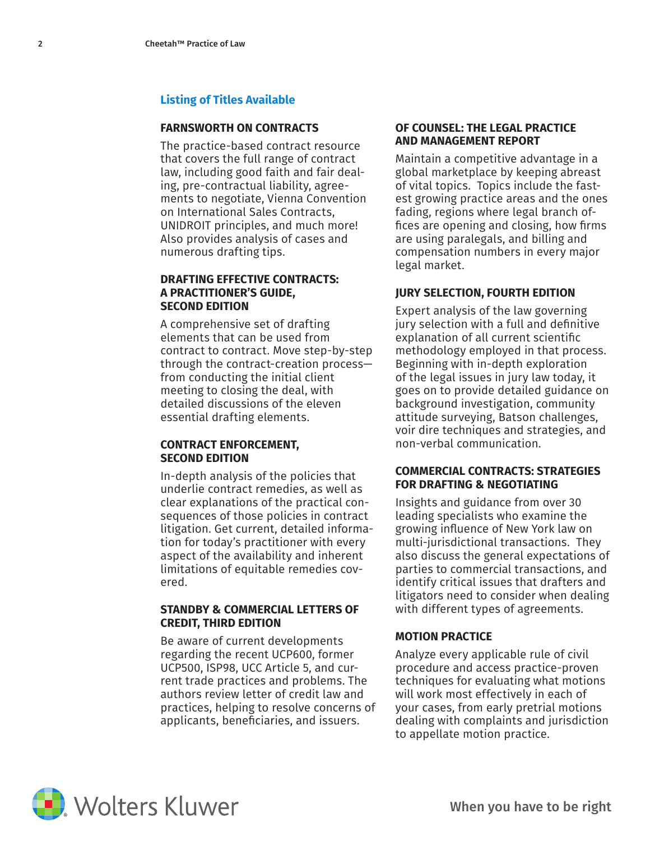# **Listing of Titles Available**

#### **FARNSWORTH ON CONTRACTS**

The practice-based contract resource that covers the full range of contract law, including good faith and fair dealing, pre-contractual liability, agreements to negotiate, Vienna Convention on International Sales Contracts, UNIDROIT principles, and much more! Also provides analysis of cases and numerous drafting tips.

#### **DRAFTING EFFECTIVE CONTRACTS: A PRACTITIONER'S GUIDE, SECOND EDITION**

A comprehensive set of drafting elements that can be used from contract to contract. Move step-by-step through the contract-creation process from conducting the initial client meeting to closing the deal, with detailed discussions of the eleven essential drafting elements.

#### **CONTRACT ENFORCEMENT, SECOND EDITION**

In-depth analysis of the policies that underlie contract remedies, as well as clear explanations of the practical consequences of those policies in contract litigation. Get current, detailed information for today's practitioner with every aspect of the availability and inherent limitations of equitable remedies covered.

#### **STANDBY & COMMERCIAL LETTERS OF CREDIT, THIRD EDITION**

Be aware of current developments regarding the recent UCP600, former UCP500, ISP98, UCC Article 5, and current trade practices and problems. The authors review letter of credit law and practices, helping to resolve concerns of applicants, beneficiaries, and issuers.

## **OF COUNSEL: THE LEGAL PRACTICE AND MANAGEMENT REPORT**

Maintain a competitive advantage in a global marketplace by keeping abreast of vital topics. Topics include the fastest growing practice areas and the ones fading, regions where legal branch offices are opening and closing, how firms are using paralegals, and billing and compensation numbers in every major legal market.

# **JURY SELECTION, FOURTH EDITION**

Expert analysis of the law governing jury selection with a full and definitive explanation of all current scientific methodology employed in that process. Beginning with in-depth exploration of the legal issues in jury law today, it goes on to provide detailed guidance on background investigation, community attitude surveying, Batson challenges, voir dire techniques and strategies, and non-verbal communication.

#### **COMMERCIAL CONTRACTS: STRATEGIES FOR DRAFTING & NEGOTIATING**

Insights and guidance from over 30 leading specialists who examine the growing influence of New York law on multi-jurisdictional transactions. They also discuss the general expectations of parties to commercial transactions, and identify critical issues that drafters and litigators need to consider when dealing with different types of agreements.

### **MOTION PRACTICE**

Analyze every applicable rule of civil procedure and access practice-proven techniques for evaluating what motions will work most effectively in each of your cases, from early pretrial motions dealing with complaints and jurisdiction to appellate motion practice.